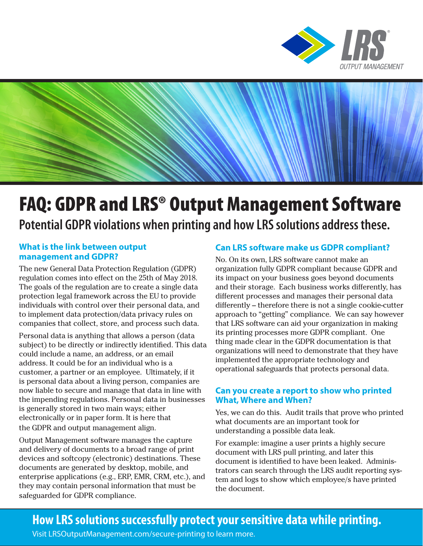



# FAQ: GDPR and LRS® Output Management Software **Potential GDPR violations when printing and how LRS solutions address these.**

#### **What is the link between output management and GDPR?**

The new General Data Protection Regulation (GDPR) regulation comes into effect on the 25th of May 2018. The goals of the regulation are to create a single data protection legal framework across the EU to provide individuals with control over their personal data, and to implement data protection/data privacy rules on companies that collect, store, and process such data.

Personal data is anything that allows a person (data subject) to be directly or indirectly identified. This data could include a name, an address, or an email address. It could be for an individual who is a customer, a partner or an employee. Ultimately, if it is personal data about a living person, companies are now liable to secure and manage that data in line with the impending regulations. Personal data in businesses is generally stored in two main ways; either electronically or in paper form. It is here that the GDPR and output management align.

Output Management software manages the capture and delivery of documents to a broad range of print devices and softcopy (electronic) destinations. These documents are generated by desktop, mobile, and enterprise applications (e.g., ERP, EMR, CRM, etc.), and they may contain personal information that must be safeguarded for GDPR compliance.

### **Can LRS software make us GDPR compliant?**

No. On its own, LRS software cannot make an organization fully GDPR compliant because GDPR and its impact on your business goes beyond documents and their storage. Each business works differently, has different processes and manages their personal data differently – therefore there is not a single cookie-cutter approach to "getting" compliance. We can say however that LRS software can aid your organization in making its printing processes more GDPR compliant. One thing made clear in the GDPR documentation is that organizations will need to demonstrate that they have implemented the appropriate technology and operational safeguards that protects personal data.

#### **Can you create a report to show who printed What, Where and When?**

Yes, we can do this. Audit trails that prove who printed what documents are an important took for understanding a possible data leak.

For example: imagine a user prints a highly secure document with LRS pull printing, and later this document is identified to have been leaked. Administrators can search through the LRS audit reporting system and logs to show which employee/s have printed the document.

## **How LRS solutions successfully protect your sensitive data while printing.**

Visit LRSOutputManagement.com/secure-printing to learn more.